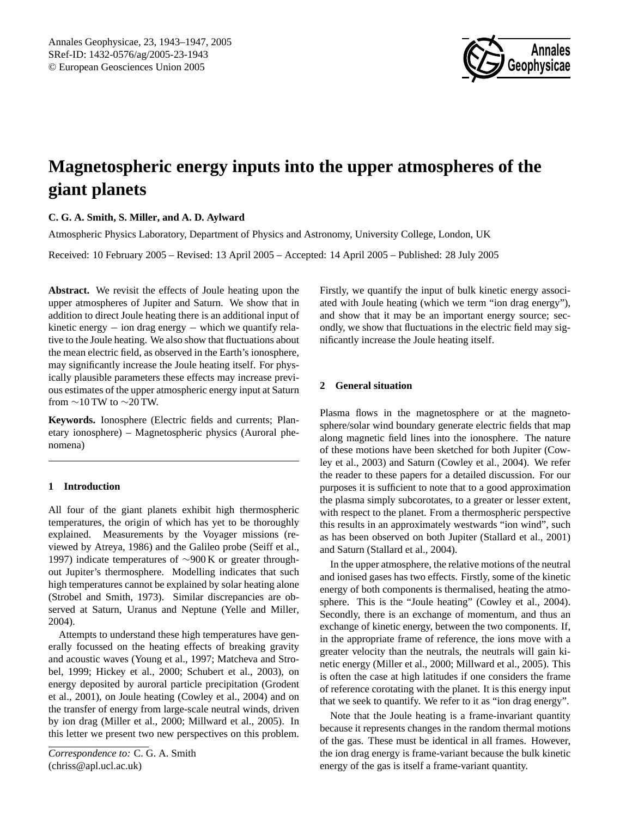

# **Magnetospheric energy inputs into the upper atmospheres of the giant planets**

# **C. G. A. Smith, S. Miller, and A. D. Aylward**

Atmospheric Physics Laboratory, Department of Physics and Astronomy, University College, London, UK

Received: 10 February 2005 – Revised: 13 April 2005 – Accepted: 14 April 2005 – Published: 28 July 2005

**Abstract.** We revisit the effects of Joule heating upon the upper atmospheres of Jupiter and Saturn. We show that in addition to direct Joule heating there is an additional input of kinetic energy − ion drag energy − which we quantify relative to the Joule heating. We also show that fluctuations about the mean electric field, as observed in the Earth's ionosphere, may significantly increase the Joule heating itself. For physically plausible parameters these effects may increase previous estimates of the upper atmospheric energy input at Saturn from  $\sim$ 10 TW to  $\sim$ 20 TW.

**Keywords.** Ionosphere (Electric fields and currents; Planetary ionosphere) – Magnetospheric physics (Auroral phenomena)

# **1 Introduction**

All four of the giant planets exhibit high thermospheric temperatures, the origin of which has yet to be thoroughly explained. Measurements by the Voyager missions (reviewed by [Atreya,](#page-3-0) [1986\)](#page-3-0) and the Galileo probe [\(Seiff et al.,](#page-3-1) [1997\)](#page-3-1) indicate temperatures of ∼900 K or greater throughout Jupiter's thermosphere. Modelling indicates that such high temperatures cannot be explained by solar heating alone [\(Strobel and Smith,](#page-4-0) [1973\)](#page-4-0). Similar discrepancies are observed at Saturn, Uranus and Neptune [\(Yelle and Miller,](#page-4-1) [2004\)](#page-4-1).

<span id="page-0-0"></span>Attempts to understand these high temperatures have generally focussed on the heating effects of breaking gravity and acoustic waves [\(Young et al.,](#page-4-2) [1997;](#page-4-2) [Matcheva and Stro](#page-3-2)[bel,](#page-3-2) [1999;](#page-3-2) [Hickey et al.,](#page-3-3) [2000;](#page-3-3) [Schubert et al.,](#page-3-4) [2003\)](#page-3-4), on energy deposited by auroral particle precipitation [\(Grodent](#page-3-5) [et al.,](#page-3-5) [2001\)](#page-3-5), on Joule heating [\(Cowley et al.,](#page-3-6) [2004\)](#page-3-6) and on the transfer of energy from large-scale neutral winds, driven by ion drag [\(Miller et al.,](#page-3-7) [2000;](#page-3-7) [Millward et al.,](#page-3-8) [2005\)](#page-3-8). In this letter we present two new perspectives on this problem. Firstly, we quantify the input of bulk kinetic energy associated with Joule heating (which we term "ion drag energy"), and show that it may be an important energy source; secondly, we show that fluctuations in the electric field may significantly increase the Joule heating itself.

# **2 General situation**

Plasma flows in the magnetosphere or at the magnetosphere/solar wind boundary generate electric fields that map along magnetic field lines into the ionosphere. The nature of these motions have been sketched for both Jupiter [\(Cow](#page-3-9)[ley et al.,](#page-3-9) [2003\)](#page-3-9) and Saturn [\(Cowley et al.,](#page-3-6) [2004\)](#page-3-6). We refer the reader to these papers for a detailed discussion. For our purposes it is sufficient to note that to a good approximation the plasma simply subcorotates, to a greater or lesser extent, with respect to the planet. From a thermospheric perspective this results in an approximately westwards "ion wind", such as has been observed on both Jupiter [\(Stallard et al.,](#page-3-10) [2001\)](#page-3-10) and Saturn [\(Stallard et al.,](#page-3-11) [2004\)](#page-3-11).

In the upper atmosphere, the relative motions of the neutral and ionised gases has two effects. Firstly, some of the kinetic energy of both components is thermalised, heating the atmosphere. This is the "Joule heating" [\(Cowley et al.,](#page-3-6) [2004\)](#page-3-6). Secondly, there is an exchange of momentum, and thus an exchange of kinetic energy, between the two components. If, in the appropriate frame of reference, the ions move with a greater velocity than the neutrals, the neutrals will gain kinetic energy [\(Miller et al.,](#page-3-7) [2000;](#page-3-7) [Millward et al.,](#page-3-8) [2005\)](#page-3-8). This is often the case at high latitudes if one considers the frame of reference corotating with the planet. It is this energy input that we seek to quantify. We refer to it as "ion drag energy".

Note that the Joule heating is a frame-invariant quantity because it represents changes in the random thermal motions of the gas. These must be identical in all frames. However, the ion drag energy is frame-variant because the bulk kinetic energy of the gas is itself a frame-variant quantity.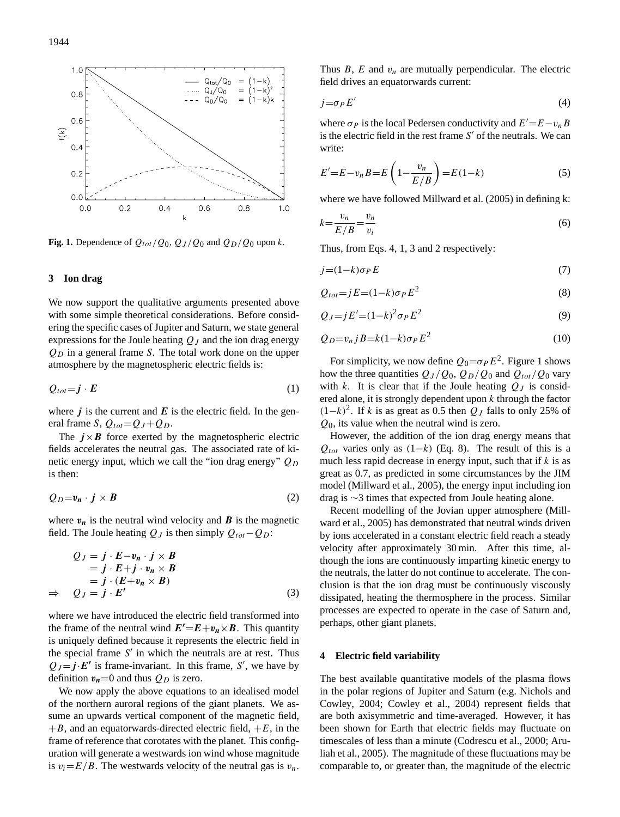

<span id="page-1-4"></span>**Fig. 1.** Dependence of  $Q_{tot}/Q_0$ ,  $Q_J/Q_0$  and  $Q_D/Q_0$  upon k.

#### **3 Ion drag**

We now support the qualitative arguments presented above with some simple theoretical considerations. Before considering the specific cases of Jupiter and Saturn, we state general expressions for the Joule heating  $Q_J$  and the ion drag energy  $Q_D$  in a general frame S. The total work done on the upper atmosphere by the magnetospheric electric fields is:

<span id="page-1-1"></span>
$$
Q_{tot} = \mathbf{j} \cdot \mathbf{E} \tag{1}
$$

where  $j$  is the current and  $E$  is the electric field. In the general frame S,  $Q_{tot} = Q_J + Q_D$ .

The  $j \times B$  force exerted by the magnetospheric electric fields accelerates the neutral gas. The associated rate of kinetic energy input, which we call the "ion drag energy"  $Q_D$ is then:

<span id="page-1-3"></span>
$$
Q_D = v_n \cdot j \times B \tag{2}
$$

where  $v_n$  is the neutral wind velocity and **B** is the magnetic field. The Joule heating  $Q_J$  is then simply  $Q_{tot}-Q_D$ :

<span id="page-1-2"></span>
$$
Q_J = j \cdot E - v_n \cdot j \times B
$$
  
=  $j \cdot E + j \cdot v_n \times B$   
=  $j \cdot (E + v_n \times B)$   
 $\Rightarrow Q_J = j \cdot E'$  (3)

where we have introduced the electric field transformed into the frame of the neutral wind  $E'=E+v_n\times B$ . This quantity is uniquely defined because it represents the electric field in the special frame  $S'$  in which the neutrals are at rest. Thus  $Q_J = j \cdot E'$  is frame-invariant. In this frame, S', we have by definition  $v_n=0$  and thus  $Q_D$  is zero.

We now apply the above equations to an idealised model of the northern auroral regions of the giant planets. We assume an upwards vertical component of the magnetic field,  $+B$ , and an equatorwards-directed electric field,  $+E$ , in the frame of reference that corotates with the planet. This configuration will generate a westwards ion wind whose magnitude is  $v_i=E/B$ . The westwards velocity of the neutral gas is  $v_n$ . Thus  $B$ ,  $E$  and  $v_n$  are mutually perpendicular. The electric field drives an equatorwards current:

<span id="page-1-0"></span>
$$
j = \sigma_P E'
$$
 (4)

where  $\sigma_P$  is the local Pedersen conductivity and  $E' = E - v_n B$ is the electric field in the rest frame  $S'$  of the neutrals. We can write:

$$
E'=E-v_nB=E\left(1-\frac{v_n}{E/B}\right)=E(1-k)\tag{5}
$$

where we have followed [Millward et al.](#page-3-8) [\(2005\)](#page-3-8) in defining k:

$$
k = \frac{v_n}{E/B} = \frac{v_n}{v_i} \tag{6}
$$

Thus, from Eqs. [4,](#page-1-0) [1,](#page-1-1) [3](#page-1-2) and [2](#page-1-3) respectively:

<span id="page-1-6"></span>
$$
j = (1 - k)\sigma_P E \tag{7}
$$

<span id="page-1-5"></span>
$$
Q_{tot} = jE = (1 - k)\sigma_P E^2 \tag{8}
$$

<span id="page-1-7"></span>
$$
Q_J = jE' = (1 - k)^2 \sigma_P E^2 \tag{9}
$$

<span id="page-1-8"></span>
$$
Q_D = v_n j B = k(1-k)\sigma_P E^2 \tag{10}
$$

For simplicity, we now define  $Q_0 = \sigma_P E^2$ . Figure [1](#page-1-4) shows how the three quantities  $Q_J/Q_0$ ,  $Q_D/Q_0$  and  $Q_{tot}/Q_0$  vary with k. It is clear that if the Joule heating  $Q<sub>J</sub>$  is considered alone, it is strongly dependent upon  $k$  through the factor  $(1-k)^2$ . If k is as great as 0.5 then  $Q_J$  falls to only 25% of  $Q_0$ , its value when the neutral wind is zero.

However, the addition of the ion drag energy means that  $Q_{tot}$  varies only as (1–k) (Eq. [8\)](#page-1-5). The result of this is a much less rapid decrease in energy input, such that if  $k$  is as great as 0.7, as predicted in some circumstances by the JIM model [\(Millward et al.,](#page-3-8) [2005\)](#page-3-8), the energy input including ion drag is ∼3 times that expected from Joule heating alone.

Recent modelling of the Jovian upper atmosphere [\(Mill](#page-3-8)[ward et al.,](#page-3-8) [2005\)](#page-3-8) has demonstrated that neutral winds driven by ions accelerated in a constant electric field reach a steady velocity after approximately 30 min. After this time, although the ions are continuously imparting kinetic energy to the neutrals, the latter do not continue to accelerate. The conclusion is that the ion drag must be continuously viscously dissipated, heating the thermosphere in the process. Similar processes are expected to operate in the case of Saturn and, perhaps, other giant planets.

#### **4 Electric field variability**

The best available quantitative models of the plasma flows in the polar regions of Jupiter and Saturn (e.g. [Nichols and](#page-3-12) [Cowley,](#page-3-12) [2004;](#page-3-12) [Cowley et al.,](#page-3-6) [2004\)](#page-3-6) represent fields that are both axisymmetric and time-averaged. However, it has been shown for Earth that electric fields may fluctuate on timescales of less than a minute [\(Codrescu et al.,](#page-3-13) [2000;](#page-3-13) [Aru](#page-3-14)[liah et al.,](#page-3-14) [2005\)](#page-3-14). The magnitude of these fluctuations may be comparable to, or greater than, the magnitude of the electric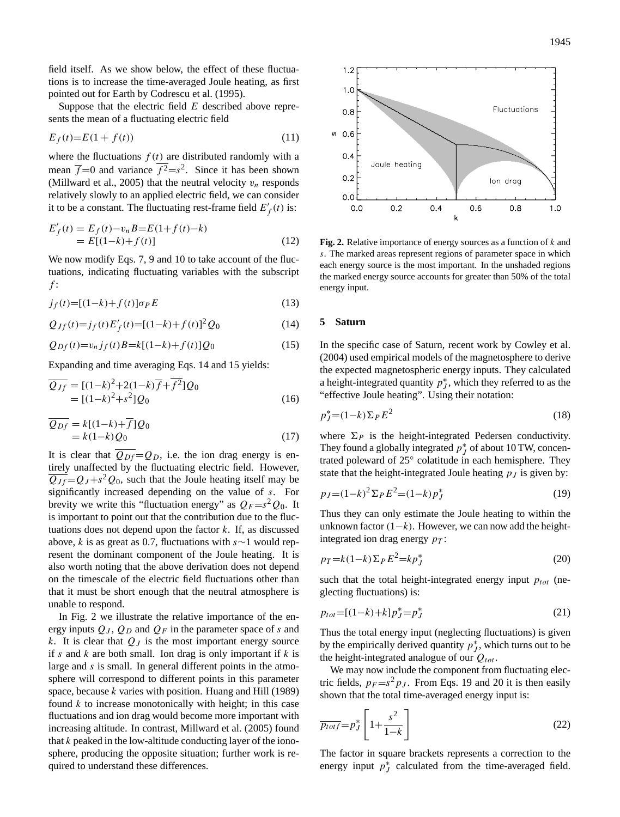field itself. As we show below, the effect of these fluctuations is to increase the time-averaged Joule heating, as first pointed out for Earth by [Codrescu et al.](#page-3-15) [\(1995\)](#page-3-15).

Suppose that the electric field  $E$  described above represents the mean of a fluctuating electric field

$$
E_f(t)=E(1+f(t))\tag{11}
$$

where the fluctuations  $f(t)$  are distributed randomly with a mean  $\overline{f}$ =0 and variance  $f^2 = s^2$ . Since it has been shown [\(Millward et al.,](#page-3-8) [2005\)](#page-3-8) that the neutral velocity  $v_n$  responds relatively slowly to an applied electric field, we can consider it to be a constant. The fluctuating rest-frame field  $E'_f(t)$  is:

$$
E'_f(t) = E_f(t) - v_n B = E(1+f(t)-k)
$$
  
= E[(1-k)+f(t)] (12)

We now modify Eqs. [7,](#page-1-6) [9](#page-1-7) and [10](#page-1-8) to take account of the fluctuations, indicating fluctuating variables with the subscript  $f$ :

$$
j_f(t) = [(1-k) + f(t)]\sigma_P E \tag{13}
$$

<span id="page-2-0"></span>
$$
Q_{Jf}(t) = j_f(t)E'_f(t) = [(1-k) + f(t)]^2 Q_0
$$
\n(14)

<span id="page-2-1"></span>
$$
Q_{Df}(t) = v_n j_f(t) B = k[(1-k) + f(t)]Q_0
$$
\n(15)

Expanding and time averaging Eqs. [14](#page-2-0) and [15](#page-2-1) yields:

$$
\overline{Q_{Jf}} = [(1-k)^2 + 2(1-k)\overline{f} + \overline{f^2}]Q_0
$$
  
= [(1-k)<sup>2</sup>+s<sup>2</sup>]Q<sub>0</sub> (16)

$$
\overline{Q_{Df}} = k[(1-k) + \overline{f}]Q_0
$$
  
= k(1-k)Q\_0 (17)

It is clear that  $\overline{Q_{Df}} = Q_D$ , i.e. the ion drag energy is entirely unaffected by the fluctuating electric field. However,  $\overline{Q_{Jf}} = Q_J + s^2 Q_0$ , such that the Joule heating itself may be significantly increased depending on the value of s. For brevity we write this "fluctuation energy" as  $Q_F = s^2 Q_0$ . It is important to point out that the contribution due to the fluctuations does not depend upon the factor  $k$ . If, as discussed above, k is as great as 0.7, fluctuations with s∼1 would represent the dominant component of the Joule heating. It is also worth noting that the above derivation does not depend on the timescale of the electric field fluctuations other than that it must be short enough that the neutral atmosphere is unable to respond.

In Fig. [2](#page-2-2) we illustrate the relative importance of the energy inputs  $Q_J$ ,  $Q_D$  and  $Q_F$  in the parameter space of s and k. It is clear that  $Q_J$  is the most important energy source if s and k are both small. Ion drag is only important if  $k$  is large and s is small. In general different points in the atmosphere will correspond to different points in this parameter space, because k varies with position. [Huang and Hill](#page-3-16) [\(1989\)](#page-3-16) found  $k$  to increase monotonically with height; in this case fluctuations and ion drag would become more important with increasing altitude. In contrast, [Millward et al.](#page-3-8) [\(2005\)](#page-3-8) found that  $k$  peaked in the low-altitude conducting layer of the ionosphere, producing the opposite situation; further work is required to understand these differences.



<span id="page-2-2"></span>**Fig. 2.** Relative importance of energy sources as a function of k and s. The marked areas represent regions of parameter space in which each energy source is the most important. In the unshaded regions the marked energy source accounts for greater than 50% of the total energy input.

# **5 Saturn**

In the specific case of Saturn, recent work by [Cowley et al.](#page-3-6) [\(2004\)](#page-3-6) used empirical models of the magnetosphere to derive the expected magnetospheric energy inputs. They calculated a height-integrated quantity  $p_j^*$ , which they referred to as the "effective Joule heating". Using their notation:

$$
p_J^* = (1-k)\Sigma_P E^2 \tag{18}
$$

where  $\Sigma_P$  is the height-integrated Pedersen conductivity. They found a globally integrated  $p_j^*$  of about 10 TW, concentrated poleward of 25° colatitude in each hemisphere. They state that the height-integrated Joule heating  $p_j$  is given by:

<span id="page-2-3"></span>
$$
p_J = (1 - k)^2 \Sigma_P E^2 = (1 - k) p_J^* \tag{19}
$$

Thus they can only estimate the Joule heating to within the unknown factor  $(1-k)$ . However, we can now add the heightintegrated ion drag energy  $p_T$ :

<span id="page-2-4"></span>
$$
p_T = k(1-k)\Sigma_P E^2 = kp_J^*
$$
\n<sup>(20)</sup>

such that the total height-integrated energy input  $p_{tot}$  (neglecting fluctuations) is:

$$
p_{tot} = [(1-k)+k]p_J^* = p_J^* \tag{21}
$$

Thus the total energy input (neglecting fluctuations) is given by the empirically derived quantity  $p_j^*$ , which turns out to be the height-integrated analogue of our  $Q_{tot}$ .

We may now include the component from fluctuating electric fields,  $p_F = s^2 p_J$ . From Eqs. [19](#page-2-3) and [20](#page-2-4) it is then easily shown that the total time-averaged energy input is:

$$
\overline{p_{totf}} = p_J^* \left[ 1 + \frac{s^2}{1 - k} \right] \tag{22}
$$

The factor in square brackets represents a correction to the energy input  $p_J^*$  calculated from the time-averaged field.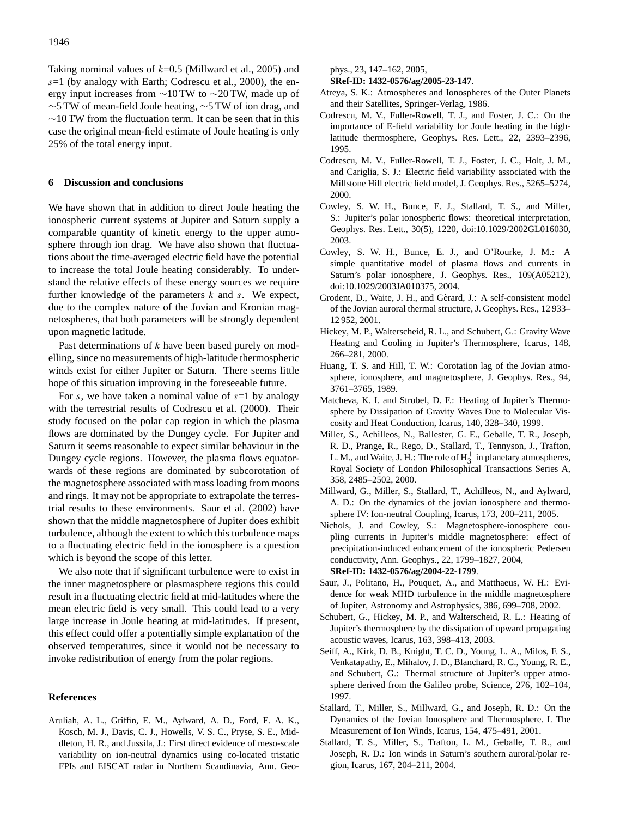Taking nominal values of  $k=0.5$  [\(Millward et al.,](#page-3-8) [2005\)](#page-3-8) and  $s=1$  (by analogy with Earth; [Codrescu et al.,](#page-3-13) [2000\)](#page-3-13), the energy input increases from ∼10 TW to ∼20 TW, made up of ∼5 TW of mean-field Joule heating, ∼5 TW of ion drag, and  $∼10$  TW from the fluctuation term. It can be seen that in this case the original mean-field estimate of Joule heating is only 25% of the total energy input.

#### **6 Discussion and conclusions**

We have shown that in addition to direct Joule heating the ionospheric current systems at Jupiter and Saturn supply a comparable quantity of kinetic energy to the upper atmosphere through ion drag. We have also shown that fluctuations about the time-averaged electric field have the potential to increase the total Joule heating considerably. To understand the relative effects of these energy sources we require further knowledge of the parameters  $k$  and  $s$ . We expect, due to the complex nature of the Jovian and Kronian magnetospheres, that both parameters will be strongly dependent upon magnetic latitude.

Past determinations of  $k$  have been based purely on modelling, since no measurements of high-latitude thermospheric winds exist for either Jupiter or Saturn. There seems little hope of this situation improving in the foreseeable future.

For s, we have taken a nominal value of  $s=1$  by analogy with the terrestrial results of [Codrescu et al.](#page-3-13) [\(2000\)](#page-3-13). Their study focused on the polar cap region in which the plasma flows are dominated by the Dungey cycle. For Jupiter and Saturn it seems reasonable to expect similar behaviour in the Dungey cycle regions. However, the plasma flows equatorwards of these regions are dominated by subcorotation of the magnetosphere associated with mass loading from moons and rings. It may not be appropriate to extrapolate the terrestrial results to these environments. [Saur et al.](#page-3-17) [\(2002\)](#page-3-17) have shown that the middle magnetosphere of Jupiter does exhibit turbulence, although the extent to which this turbulence maps to a fluctuating electric field in the ionosphere is a question which is beyond the scope of this letter.

We also note that if significant turbulence were to exist in the inner magnetosphere or plasmasphere regions this could result in a fluctuating electric field at mid-latitudes where the mean electric field is very small. This could lead to a very large increase in Joule heating at mid-latitudes. If present, this effect could offer a potentially simple explanation of the observed temperatures, since it would not be necessary to invoke redistribution of energy from the polar regions.

#### **References**

<span id="page-3-14"></span>Aruliah, A. L., Griffin, E. M., Aylward, A. D., Ford, E. A. K., Kosch, M. J., Davis, C. J., Howells, V. S. C., Pryse, S. E., Middleton, H. R., and Jussila, J.: First direct evidence of meso-scale variability on ion-neutral dynamics using co-located tristatic FPIs and EISCAT radar in Northern Scandinavia, Ann. Geophys., 23, 147–162, 2005,

**[SRef-ID: 1432-0576/ag/2005-23-147](http://direct.sref.org/1432-0576/ag/2005-23-147)**.

- <span id="page-3-0"></span>Atreya, S. K.: Atmospheres and Ionospheres of the Outer Planets and their Satellites, Springer-Verlag, 1986.
- <span id="page-3-15"></span>Codrescu, M. V., Fuller-Rowell, T. J., and Foster, J. C.: On the importance of E-field variability for Joule heating in the highlatitude thermosphere, Geophys. Res. Lett., 22, 2393–2396, 1995.
- <span id="page-3-13"></span>Codrescu, M. V., Fuller-Rowell, T. J., Foster, J. C., Holt, J. M., and Cariglia, S. J.: Electric field variability associated with the Millstone Hill electric field model, J. Geophys. Res., 5265–5274, 2000.
- <span id="page-3-9"></span>Cowley, S. W. H., Bunce, E. J., Stallard, T. S., and Miller, S.: Jupiter's polar ionospheric flows: theoretical interpretation, Geophys. Res. Lett., 30(5), 1220, doi:10.1029/2002GL016030, 2003.
- <span id="page-3-6"></span>Cowley, S. W. H., Bunce, E. J., and O'Rourke, J. M.: A simple quantitative model of plasma flows and currents in Saturn's polar ionosphere, J. Geophys. Res., 109(A05212), doi:10.1029/2003JA010375, 2004.
- <span id="page-3-5"></span>Grodent, D., Waite, J. H., and Gérard, J.: A self-consistent model of the Jovian auroral thermal structure, J. Geophys. Res., 12 933– 12 952, 2001.
- <span id="page-3-3"></span>Hickey, M. P., Walterscheid, R. L., and Schubert, G.: Gravity Wave Heating and Cooling in Jupiter's Thermosphere, Icarus, 148, 266–281, 2000.
- <span id="page-3-16"></span>Huang, T. S. and Hill, T. W.: Corotation lag of the Jovian atmosphere, ionosphere, and magnetosphere, J. Geophys. Res., 94, 3761–3765, 1989.
- <span id="page-3-2"></span>Matcheva, K. I. and Strobel, D. F.: Heating of Jupiter's Thermosphere by Dissipation of Gravity Waves Due to Molecular Viscosity and Heat Conduction, Icarus, 140, 328–340, 1999.
- <span id="page-3-7"></span>Miller, S., Achilleos, N., Ballester, G. E., Geballe, T. R., Joseph, R. D., Prange, R., Rego, D., Stallard, T., Tennyson, J., Trafton, L. M., and Waite, J. H.: The role of  $H_3^+$  in planetary atmospheres, Royal Society of London Philosophical Transactions Series A, 358, 2485–2502, 2000.
- <span id="page-3-8"></span>Millward, G., Miller, S., Stallard, T., Achilleos, N., and Aylward, A. D.: On the dynamics of the jovian ionosphere and thermosphere IV: Ion-neutral Coupling, Icarus, 173, 200–211, 2005.
- <span id="page-3-12"></span>Nichols, J. and Cowley, S.: Magnetosphere-ionosphere coupling currents in Jupiter's middle magnetosphere: effect of precipitation-induced enhancement of the ionospheric Pedersen conductivity, Ann. Geophys., 22, 1799–1827, 2004, **[SRef-ID: 1432-0576/ag/2004-22-1799](http://direct.sref.org/1432-0576/ag/2004-22-1799)**.
- <span id="page-3-17"></span>Saur, J., Politano, H., Pouquet, A., and Matthaeus, W. H.: Evidence for weak MHD turbulence in the middle magnetosphere of Jupiter, Astronomy and Astrophysics, 386, 699–708, 2002.
- <span id="page-3-4"></span>Schubert, G., Hickey, M. P., and Walterscheid, R. L.: Heating of Jupiter's thermosphere by the dissipation of upward propagating acoustic waves, Icarus, 163, 398–413, 2003.
- <span id="page-3-1"></span>Seiff, A., Kirk, D. B., Knight, T. C. D., Young, L. A., Milos, F. S., Venkatapathy, E., Mihalov, J. D., Blanchard, R. C., Young, R. E., and Schubert, G.: Thermal structure of Jupiter's upper atmosphere derived from the Galileo probe, Science, 276, 102–104, 1997.
- <span id="page-3-10"></span>Stallard, T., Miller, S., Millward, G., and Joseph, R. D.: On the Dynamics of the Jovian Ionosphere and Thermosphere. I. The Measurement of Ion Winds, Icarus, 154, 475–491, 2001.
- <span id="page-3-11"></span>Stallard, T. S., Miller, S., Trafton, L. M., Geballe, T. R., and Joseph, R. D.: Ion winds in Saturn's southern auroral/polar region, Icarus, 167, 204–211, 2004.